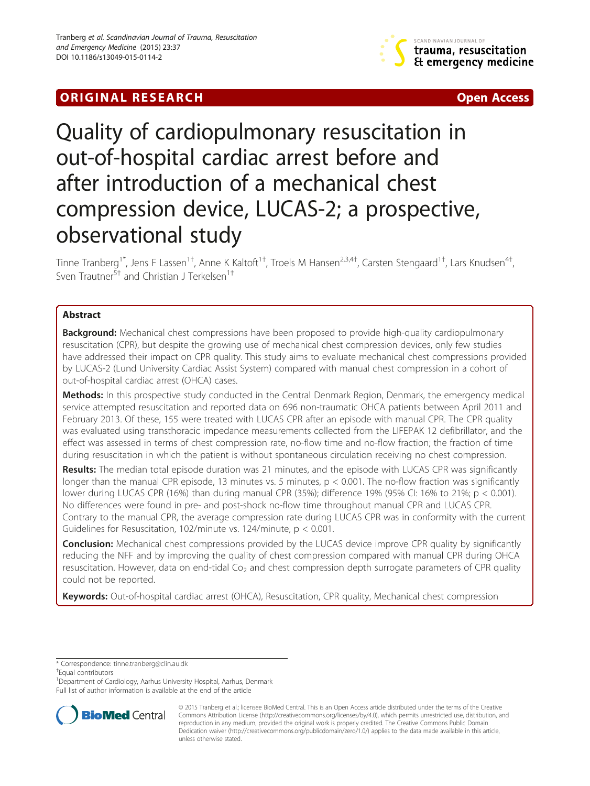

# **ORIGINAL RESEARCH CONFIDENTIAL CONSUMING A LIGHT CONFIDENTIAL CONSUMING A LIGHT CONFIDENTIAL CONFIDENTIAL CONSU**



# Quality of cardiopulmonary resuscitation in out-of-hospital cardiac arrest before and after introduction of a mechanical chest compression device, LUCAS-2; a prospective, observational study

Tinne Tranberg<sup>1\*</sup>, Jens F Lassen<sup>1†</sup>, Anne K Kaltoft<sup>1†</sup>, Troels M Hansen<sup>2,3,4†</sup>, Carsten Stengaard<sup>1†</sup>, Lars Knudsen<sup>4†</sup> , Sven Trautner<sup>5†</sup> and Christian J Terkelsen<sup>1†</sup>

# Abstract

**Background:** Mechanical chest compressions have been proposed to provide high-quality cardiopulmonary resuscitation (CPR), but despite the growing use of mechanical chest compression devices, only few studies have addressed their impact on CPR quality. This study aims to evaluate mechanical chest compressions provided by LUCAS-2 (Lund University Cardiac Assist System) compared with manual chest compression in a cohort of out-of-hospital cardiac arrest (OHCA) cases.

Methods: In this prospective study conducted in the Central Denmark Region, Denmark, the emergency medical service attempted resuscitation and reported data on 696 non-traumatic OHCA patients between April 2011 and February 2013. Of these, 155 were treated with LUCAS CPR after an episode with manual CPR. The CPR quality was evaluated using transthoracic impedance measurements collected from the LIFEPAK 12 defibrillator, and the effect was assessed in terms of chest compression rate, no-flow time and no-flow fraction; the fraction of time during resuscitation in which the patient is without spontaneous circulation receiving no chest compression.

Results: The median total episode duration was 21 minutes, and the episode with LUCAS CPR was significantly longer than the manual CPR episode, 13 minutes vs. 5 minutes,  $p < 0.001$ . The no-flow fraction was significantly lower during LUCAS CPR (16%) than during manual CPR (35%); difference 19% (95% CI: 16% to 21%; p < 0.001). No differences were found in pre- and post-shock no-flow time throughout manual CPR and LUCAS CPR. Contrary to the manual CPR, the average compression rate during LUCAS CPR was in conformity with the current Guidelines for Resuscitation, 102/minute vs. 124/minute, p < 0.001.

**Conclusion:** Mechanical chest compressions provided by the LUCAS device improve CPR quality by significantly reducing the NFF and by improving the quality of chest compression compared with manual CPR during OHCA resuscitation. However, data on end-tidal Co<sub>2</sub> and chest compression depth surrogate parameters of CPR quality could not be reported.

Keywords: Out-of-hospital cardiac arrest (OHCA), Resuscitation, CPR quality, Mechanical chest compression

\* Correspondence: [tinne.tranberg@clin.au.dk](mailto:tinne.tranberg@clin.au.dk) †

Equal contributors

<sup>1</sup> Department of Cardiology, Aarhus University Hospital, Aarhus, Denmark Full list of author information is available at the end of the article



<sup>© 2015</sup> Tranberg et al.; licensee BioMed Central. This is an Open Access article distributed under the terms of the Creative Commons Attribution License [\(http://creativecommons.org/licenses/by/4.0\)](http://creativecommons.org/licenses/by/4.0), which permits unrestricted use, distribution, and reproduction in any medium, provided the original work is properly credited. The Creative Commons Public Domain Dedication waiver [\(http://creativecommons.org/publicdomain/zero/1.0/](http://creativecommons.org/publicdomain/zero/1.0/)) applies to the data made available in this article, unless otherwise stated.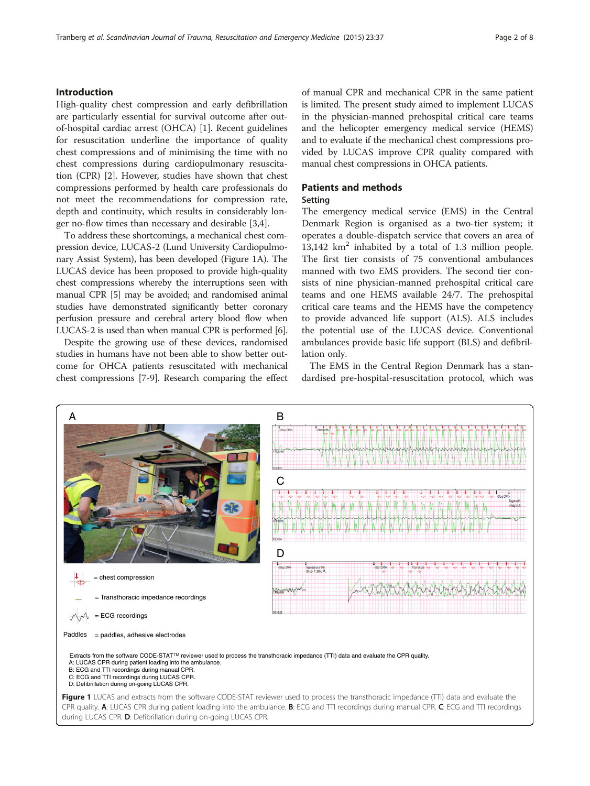# <span id="page-1-0"></span>Introduction

High-quality chest compression and early defibrillation are particularly essential for survival outcome after outof-hospital cardiac arrest (OHCA) [[1\]](#page-6-0). Recent guidelines for resuscitation underline the importance of quality chest compressions and of minimising the time with no chest compressions during cardiopulmonary resuscitation (CPR) [[2](#page-6-0)]. However, studies have shown that chest compressions performed by health care professionals do not meet the recommendations for compression rate, depth and continuity, which results in considerably longer no-flow times than necessary and desirable [[3,4\]](#page-6-0).

To address these shortcomings, a mechanical chest compression device, LUCAS-2 (Lund University Cardiopulmonary Assist System), has been developed (Figure 1A). The LUCAS device has been proposed to provide high-quality chest compressions whereby the interruptions seen with manual CPR [\[5](#page-6-0)] may be avoided; and randomised animal studies have demonstrated significantly better coronary perfusion pressure and cerebral artery blood flow when LUCAS-2 is used than when manual CPR is performed [[6](#page-6-0)].

Despite the growing use of these devices, randomised studies in humans have not been able to show better outcome for OHCA patients resuscitated with mechanical chest compressions [\[7-9](#page-7-0)]. Research comparing the effect

of manual CPR and mechanical CPR in the same patient is limited. The present study aimed to implement LUCAS in the physician-manned prehospital critical care teams and the helicopter emergency medical service (HEMS) and to evaluate if the mechanical chest compressions provided by LUCAS improve CPR quality compared with manual chest compressions in OHCA patients.

# Patients and methods

# Setting

The emergency medical service (EMS) in the Central Denmark Region is organised as a two-tier system; it operates a double-dispatch service that covers an area of 13,142  $km^2$  inhabited by a total of 1.3 million people. The first tier consists of 75 conventional ambulances manned with two EMS providers. The second tier consists of nine physician-manned prehospital critical care teams and one HEMS available 24/7. The prehospital critical care teams and the HEMS have the competency to provide advanced life support (ALS). ALS includes the potential use of the LUCAS device. Conventional ambulances provide basic life support (BLS) and defibrillation only.

The EMS in the Central Region Denmark has a standardised pre-hospital-resuscitation protocol, which was

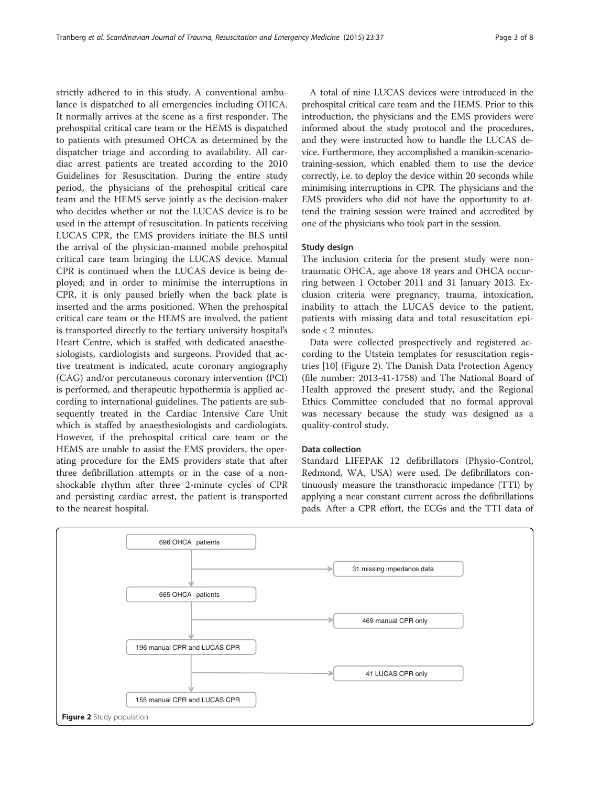<span id="page-2-0"></span>strictly adhered to in this study. A conventional ambulance is dispatched to all emergencies including OHCA. It normally arrives at the scene as a first responder. The prehospital critical care team or the HEMS is dispatched to patients with presumed OHCA as determined by the dispatcher triage and according to availability. All cardiac arrest patients are treated according to the 2010 Guidelines for Resuscitation. During the entire study period, the physicians of the prehospital critical care team and the HEMS serve jointly as the decision-maker who decides whether or not the LUCAS device is to be used in the attempt of resuscitation. In patients receiving LUCAS CPR, the EMS providers initiate the BLS until the arrival of the physician-manned mobile prehospital critical care team bringing the LUCAS device. Manual CPR is continued when the LUCAS device is being deployed; and in order to minimise the interruptions in CPR, it is only paused briefly when the back plate is inserted and the arms positioned. When the prehospital critical care team or the HEMS are involved, the patient is transported directly to the tertiary university hospital's Heart Centre, which is staffed with dedicated anaesthesiologists, cardiologists and surgeons. Provided that active treatment is indicated, acute coronary angiography (CAG) and/or percutaneous coronary intervention (PCI) is performed, and therapeutic hypothermia is applied according to international guidelines. The patients are subsequently treated in the Cardiac Intensive Care Unit which is staffed by anaesthesiologists and cardiologists. However, if the prehospital critical care team or the HEMS are unable to assist the EMS providers, the operating procedure for the EMS providers state that after three defibrillation attempts or in the case of a nonshockable rhythm after three 2-minute cycles of CPR and persisting cardiac arrest, the patient is transported to the nearest hospital.

A total of nine LUCAS devices were introduced in the prehospital critical care team and the HEMS. Prior to this introduction, the physicians and the EMS providers were informed about the study protocol and the procedures, and they were instructed how to handle the LUCAS device. Furthermore, they accomplished a manikin-scenariotraining-session, which enabled them to use the device correctly, i.e. to deploy the device within 20 seconds while minimising interruptions in CPR. The physicians and the EMS providers who did not have the opportunity to attend the training session were trained and accredited by one of the physicians who took part in the session.

### Study design

The inclusion criteria for the present study were nontraumatic OHCA, age above 18 years and OHCA occurring between 1 October 2011 and 31 January 2013. Exclusion criteria were pregnancy, trauma, intoxication, inability to attach the LUCAS device to the patient, patients with missing data and total resuscitation episode < 2 minutes.

Data were collected prospectively and registered according to the Utstein templates for resuscitation registries [\[10](#page-7-0)] (Figure 2). The Danish Data Protection Agency (file number: 2013-41-1758) and The National Board of Health approved the present study, and the Regional Ethics Committee concluded that no formal approval was necessary because the study was designed as a quality-control study.

#### Data collection

Standard LIFEPAK 12 defibrillators (Physio-Control, Redmond, WA, USA) were used. De defibrillators continuously measure the transthoracic impedance (TTI) by applying a near constant current across the defibrillations pads. After a CPR effort, the ECGs and the TTI data of

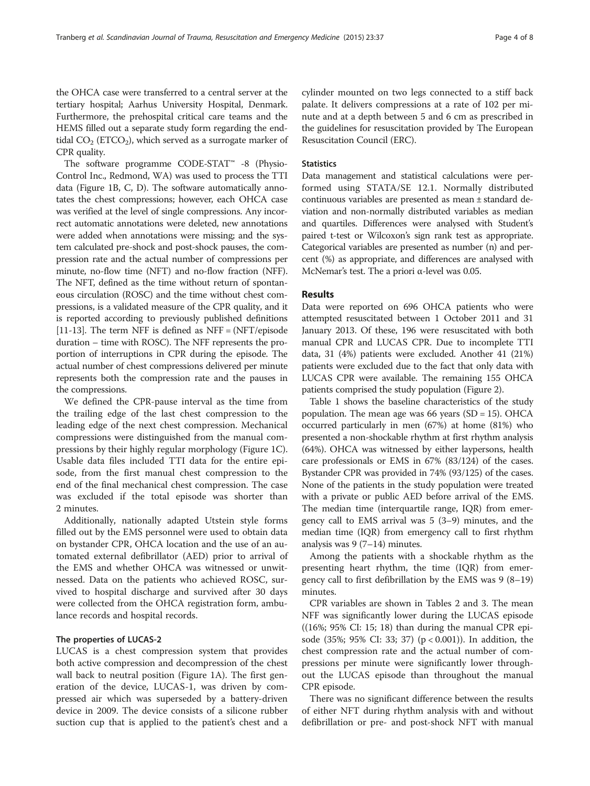the OHCA case were transferred to a central server at the tertiary hospital; Aarhus University Hospital, Denmark. Furthermore, the prehospital critical care teams and the HEMS filled out a separate study form regarding the endtidal  $CO<sub>2</sub>$  (ETCO<sub>2</sub>), which served as a surrogate marker of CPR quality.

The software programme CODE-STAT™ -8 (Physio-Control Inc., Redmond, WA) was used to process the TTI data (Figure [1B](#page-1-0), C, D). The software automatically annotates the chest compressions; however, each OHCA case was verified at the level of single compressions. Any incorrect automatic annotations were deleted, new annotations were added when annotations were missing; and the system calculated pre-shock and post-shock pauses, the compression rate and the actual number of compressions per minute, no-flow time (NFT) and no-flow fraction (NFF). The NFT, defined as the time without return of spontaneous circulation (ROSC) and the time without chest compressions, is a validated measure of the CPR quality, and it is reported according to previously published definitions [[11](#page-7-0)-[13](#page-7-0)]. The term NFF is defined as NFF = (NFT/episode duration – time with ROSC). The NFF represents the proportion of interruptions in CPR during the episode. The actual number of chest compressions delivered per minute represents both the compression rate and the pauses in the compressions.

We defined the CPR-pause interval as the time from the trailing edge of the last chest compression to the leading edge of the next chest compression. Mechanical compressions were distinguished from the manual compressions by their highly regular morphology (Figure [1](#page-1-0)C). Usable data files included TTI data for the entire episode, from the first manual chest compression to the end of the final mechanical chest compression. The case was excluded if the total episode was shorter than 2 minutes.

Additionally, nationally adapted Utstein style forms filled out by the EMS personnel were used to obtain data on bystander CPR, OHCA location and the use of an automated external defibrillator (AED) prior to arrival of the EMS and whether OHCA was witnessed or unwitnessed. Data on the patients who achieved ROSC, survived to hospital discharge and survived after 30 days were collected from the OHCA registration form, ambulance records and hospital records.

# The properties of LUCAS-2

LUCAS is a chest compression system that provides both active compression and decompression of the chest wall back to neutral position (Figure [1](#page-1-0)A). The first generation of the device, LUCAS-1, was driven by compressed air which was superseded by a battery-driven device in 2009. The device consists of a silicone rubber suction cup that is applied to the patient's chest and a cylinder mounted on two legs connected to a stiff back palate. It delivers compressions at a rate of 102 per minute and at a depth between 5 and 6 cm as prescribed in the guidelines for resuscitation provided by The European Resuscitation Council (ERC).

#### **Statistics**

Data management and statistical calculations were performed using STATA/SE 12.1. Normally distributed continuous variables are presented as mean ± standard deviation and non-normally distributed variables as median and quartiles. Differences were analysed with Student's paired t-test or Wilcoxon's sign rank test as appropriate. Categorical variables are presented as number (n) and percent (%) as appropriate, and differences are analysed with McNemar's test. The a priori  $\alpha$ -level was 0.05.

#### Results

Data were reported on 696 OHCA patients who were attempted resuscitated between 1 October 2011 and 31 January 2013. Of these, 196 were resuscitated with both manual CPR and LUCAS CPR. Due to incomplete TTI data, 31 (4%) patients were excluded. Another 41 (21%) patients were excluded due to the fact that only data with LUCAS CPR were available. The remaining 155 OHCA patients comprised the study population (Figure [2\)](#page-2-0).

Table [1](#page-4-0) shows the baseline characteristics of the study population. The mean age was 66 years  $(SD = 15)$ . OHCA occurred particularly in men (67%) at home (81%) who presented a non-shockable rhythm at first rhythm analysis (64%). OHCA was witnessed by either laypersons, health care professionals or EMS in 67% (83/124) of the cases. Bystander CPR was provided in 74% (93/125) of the cases. None of the patients in the study population were treated with a private or public AED before arrival of the EMS. The median time (interquartile range, IQR) from emergency call to EMS arrival was 5 (3–9) minutes, and the median time (IQR) from emergency call to first rhythm analysis was 9 (7–14) minutes.

Among the patients with a shockable rhythm as the presenting heart rhythm, the time (IQR) from emergency call to first defibrillation by the EMS was 9 (8–19) minutes.

CPR variables are shown in Tables [2](#page-4-0) and [3](#page-5-0). The mean NFF was significantly lower during the LUCAS episode  $((16\%; 95\% \text{ CI: } 15; 18)$  than during the manual CPR episode (35%; 95% CI: 33; 37) (p < 0.001)). In addition, the chest compression rate and the actual number of compressions per minute were significantly lower throughout the LUCAS episode than throughout the manual CPR episode.

There was no significant difference between the results of either NFT during rhythm analysis with and without defibrillation or pre- and post-shock NFT with manual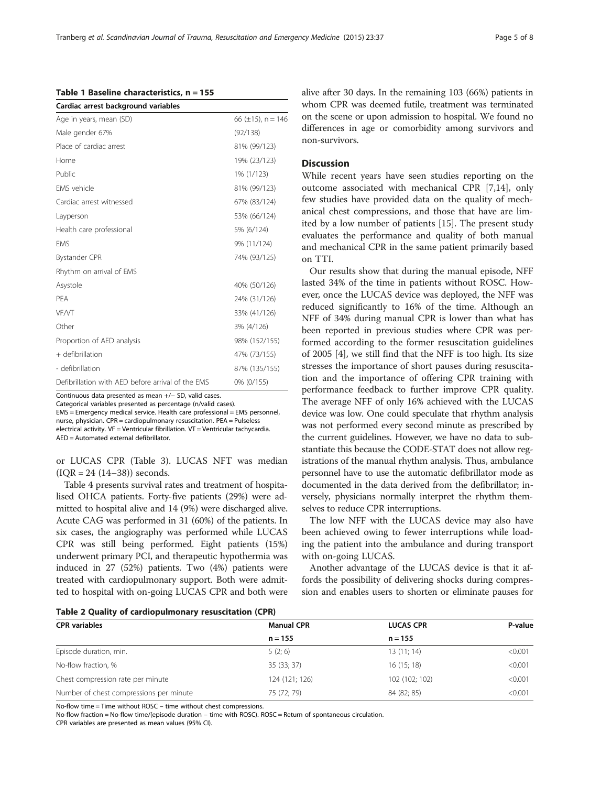### <span id="page-4-0"></span>Table 1 Baseline characteristics, n = 155

| Cardiac arrest background variables               |                         |
|---------------------------------------------------|-------------------------|
| Age in years, mean (SD)                           | 66 $(\pm 15)$ , n = 146 |
| Male gender 67%                                   | (92/138)                |
| Place of cardiac arrest                           | 81% (99/123)            |
| Home                                              | 19% (23/123)            |
| Public                                            | 1% (1/123)              |
| <b>EMS</b> vehicle                                | 81% (99/123)            |
| Cardiac arrest witnessed                          | 67% (83/124)            |
| Layperson                                         | 53% (66/124)            |
| Health care professional                          | 5% (6/124)              |
| <b>FMS</b>                                        | 9% (11/124)             |
| <b>Bystander CPR</b>                              | 74% (93/125)            |
| Rhythm on arrival of EMS                          |                         |
| Asystole                                          | 40% (50/126)            |
| <b>PFA</b>                                        | 24% (31/126)            |
| VF/VT                                             | 33% (41/126)            |
| Other                                             | 3% (4/126)              |
| Proportion of AED analysis                        | 98% (152/155)           |
| + defibrillation                                  | 47% (73/155)            |
| - defibrillation                                  | 87% (135/155)           |
| Defibrillation with AED before arrival of the EMS | 0% (0/155)              |

Continuous data presented as mean +/− SD, valid cases.

Categorical variables presented as percentage (n/valid cases).

EMS = Emergency medical service. Health care professional = EMS personnel, nurse, physician. CPR = cardiopulmonary resuscitation. PEA = Pulseless electrical activity. VF = Ventricular fibrillation. VT = Ventricular tachycardia. AED = Automated external defibrillator.

or LUCAS CPR (Table [3](#page-5-0)). LUCAS NFT was median  $( IQR = 24 (14-38) )$  seconds.

Table [4](#page-5-0) presents survival rates and treatment of hospitalised OHCA patients. Forty-five patients (29%) were admitted to hospital alive and 14 (9%) were discharged alive. Acute CAG was performed in 31 (60%) of the patients. In six cases, the angiography was performed while LUCAS CPR was still being performed. Eight patients (15%) underwent primary PCI, and therapeutic hypothermia was induced in 27 (52%) patients. Two (4%) patients were treated with cardiopulmonary support. Both were admitted to hospital with on-going LUCAS CPR and both were alive after 30 days. In the remaining 103 (66%) patients in whom CPR was deemed futile, treatment was terminated on the scene or upon admission to hospital. We found no differences in age or comorbidity among survivors and non-survivors.

## **Discussion**

While recent years have seen studies reporting on the outcome associated with mechanical CPR [[7,14](#page-7-0)], only few studies have provided data on the quality of mechanical chest compressions, and those that have are limited by a low number of patients [[15\]](#page-7-0). The present study evaluates the performance and quality of both manual and mechanical CPR in the same patient primarily based on TTI.

Our results show that during the manual episode, NFF lasted 34% of the time in patients without ROSC. However, once the LUCAS device was deployed, the NFF was reduced significantly to 16% of the time. Although an NFF of 34% during manual CPR is lower than what has been reported in previous studies where CPR was performed according to the former resuscitation guidelines of 2005 [[4](#page-6-0)], we still find that the NFF is too high. Its size stresses the importance of short pauses during resuscitation and the importance of offering CPR training with performance feedback to further improve CPR quality. The average NFF of only 16% achieved with the LUCAS device was low. One could speculate that rhythm analysis was not performed every second minute as prescribed by the current guidelines. However, we have no data to substantiate this because the CODE-STAT does not allow registrations of the manual rhythm analysis. Thus, ambulance personnel have to use the automatic defibrillator mode as documented in the data derived from the defibrillator; inversely, physicians normally interpret the rhythm themselves to reduce CPR interruptions.

The low NFF with the LUCAS device may also have been achieved owing to fewer interruptions while loading the patient into the ambulance and during transport with on-going LUCAS.

Another advantage of the LUCAS device is that it affords the possibility of delivering shocks during compression and enables users to shorten or eliminate pauses for

| Table 2 Quality of cardiopulmonary resuscitation (CPR) |  |  |  |  |
|--------------------------------------------------------|--|--|--|--|
|--------------------------------------------------------|--|--|--|--|

| <b>CPR</b> variables                    | <b>Manual CPR</b> | LUCAS CPR      | P-value |
|-----------------------------------------|-------------------|----------------|---------|
|                                         | $n = 155$         | $n = 155$      |         |
| Episode duration, min.                  | 5(2; 6)           | 13(11; 14)     | < 0.001 |
| No-flow fraction, %                     | 35(33; 37)        | 16(15; 18)     | < 0.001 |
| Chest compression rate per minute       | 124 (121; 126)    | 102 (102; 102) | < 0.001 |
| Number of chest compressions per minute | 75 (72; 79)       | 84 (82; 85)    | < 0.001 |

No-flow time = Time without ROSC – time without chest compressions.

No-flow fraction = No-flow time/(episode duration – time with ROSC). ROSC = Return of spontaneous circulation.

CPR variables are presented as mean values (95% CI).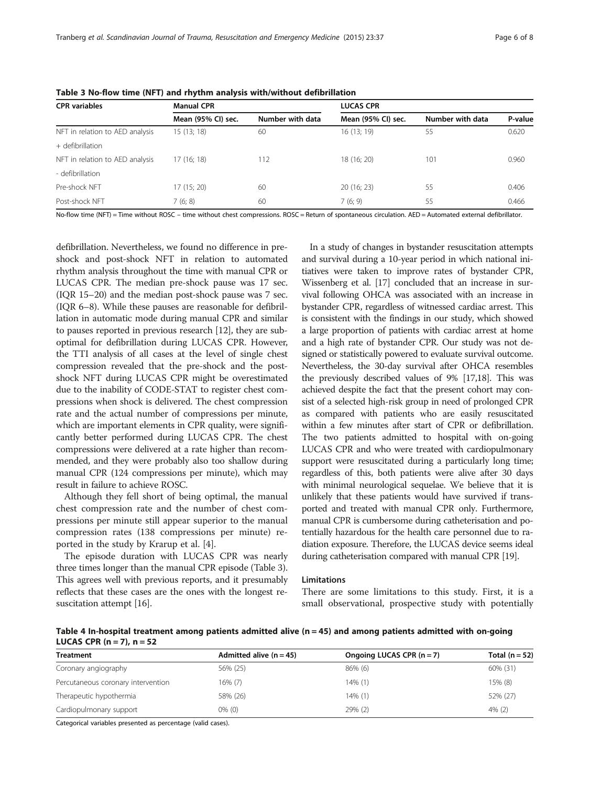| <b>CPR</b> variables            | <b>Manual CPR</b>  |                  | <b>LUCAS CPR</b>   |                  |         |
|---------------------------------|--------------------|------------------|--------------------|------------------|---------|
|                                 | Mean (95% CI) sec. | Number with data | Mean (95% CI) sec. | Number with data | P-value |
| NFT in relation to AED analysis | 15(13; 18)         | 60               | 16 (13; 19)        | 55               | 0.620   |
| + defibrillation                |                    |                  |                    |                  |         |
| NFT in relation to AED analysis | 17 (16; 18)        | 112              | 18 (16; 20)        | 101              | 0.960   |
| - defibrillation                |                    |                  |                    |                  |         |
| Pre-shock NFT                   | 17 (15; 20)        | 60               | 20(16; 23)         | 55               | 0.406   |
| Post-shock NFT                  | 7(6; 8)            | 60               | 7(6; 9)            | 55               | 0.466   |

<span id="page-5-0"></span>Table 3 No-flow time (NFT) and rhythm analysis with/without defibrillation

No-flow time (NFT) = Time without ROSC – time without chest compressions. ROSC = Return of spontaneous circulation. AED = Automated external defibrillator.

defibrillation. Nevertheless, we found no difference in preshock and post-shock NFT in relation to automated rhythm analysis throughout the time with manual CPR or LUCAS CPR. The median pre-shock pause was 17 sec. (IQR 15–20) and the median post-shock pause was 7 sec. (IQR 6–8). While these pauses are reasonable for defibrillation in automatic mode during manual CPR and similar to pauses reported in previous research [[12](#page-7-0)], they are suboptimal for defibrillation during LUCAS CPR. However, the TTI analysis of all cases at the level of single chest compression revealed that the pre-shock and the postshock NFT during LUCAS CPR might be overestimated due to the inability of CODE-STAT to register chest compressions when shock is delivered. The chest compression rate and the actual number of compressions per minute, which are important elements in CPR quality, were significantly better performed during LUCAS CPR. The chest compressions were delivered at a rate higher than recommended, and they were probably also too shallow during manual CPR (124 compressions per minute), which may result in failure to achieve ROSC.

Although they fell short of being optimal, the manual chest compression rate and the number of chest compressions per minute still appear superior to the manual compression rates (138 compressions per minute) reported in the study by Krarup et al. [[4\]](#page-6-0).

The episode duration with LUCAS CPR was nearly three times longer than the manual CPR episode (Table 3). This agrees well with previous reports, and it presumably reflects that these cases are the ones with the longest resuscitation attempt [[16](#page-7-0)].

In a study of changes in bystander resuscitation attempts and survival during a 10-year period in which national initiatives were taken to improve rates of bystander CPR, Wissenberg et al. [[17](#page-7-0)] concluded that an increase in survival following OHCA was associated with an increase in bystander CPR, regardless of witnessed cardiac arrest. This is consistent with the findings in our study, which showed a large proportion of patients with cardiac arrest at home and a high rate of bystander CPR. Our study was not designed or statistically powered to evaluate survival outcome. Nevertheless, the 30-day survival after OHCA resembles the previously described values of 9% [\[17,18](#page-7-0)]. This was achieved despite the fact that the present cohort may consist of a selected high-risk group in need of prolonged CPR as compared with patients who are easily resuscitated within a few minutes after start of CPR or defibrillation. The two patients admitted to hospital with on-going LUCAS CPR and who were treated with cardiopulmonary support were resuscitated during a particularly long time; regardless of this, both patients were alive after 30 days with minimal neurological sequelae. We believe that it is unlikely that these patients would have survived if transported and treated with manual CPR only. Furthermore, manual CPR is cumbersome during catheterisation and potentially hazardous for the health care personnel due to radiation exposure. Therefore, the LUCAS device seems ideal during catheterisation compared with manual CPR [\[19](#page-7-0)].

#### Limitations

There are some limitations to this study. First, it is a small observational, prospective study with potentially

Table 4 In-hospital treatment among patients admitted alive (n = 45) and among patients admitted with on-going LUCAS CPR  $(n = 7)$ ,  $n = 52$ 

| <b>Treatment</b>                   | Admitted alive $(n = 45)$ | Ongoing LUCAS CPR $(n = 7)$ | Total $(n = 52)$ |
|------------------------------------|---------------------------|-----------------------------|------------------|
| Coronary angiography               | 56% (25)                  | 86% (6)                     | 60% (31)         |
| Percutaneous coronary intervention | $16\%$ (7)                | $14\%$ (1)                  | 15% (8)          |
| Therapeutic hypothermia            | 58% (26)                  | 14% (1)                     | 52% (27)         |
| Cardiopulmonary support            | $0\%$ (0)                 | 29% (2)                     | $4\%$ (2)        |

Categorical variables presented as percentage (valid cases).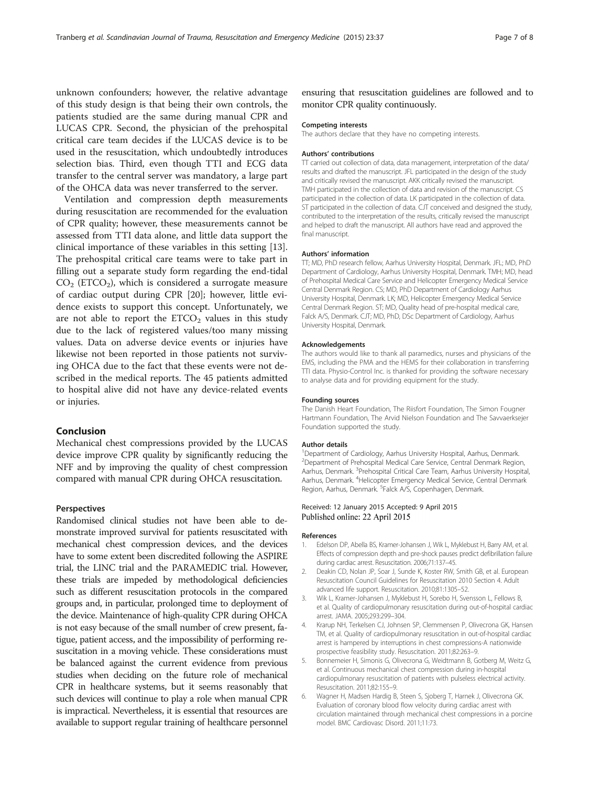<span id="page-6-0"></span>unknown confounders; however, the relative advantage of this study design is that being their own controls, the patients studied are the same during manual CPR and LUCAS CPR. Second, the physician of the prehospital critical care team decides if the LUCAS device is to be used in the resuscitation, which undoubtedly introduces selection bias. Third, even though TTI and ECG data transfer to the central server was mandatory, a large part of the OHCA data was never transferred to the server.

Ventilation and compression depth measurements during resuscitation are recommended for the evaluation of CPR quality; however, these measurements cannot be assessed from TTI data alone, and little data support the clinical importance of these variables in this setting [\[13](#page-7-0)]. The prehospital critical care teams were to take part in filling out a separate study form regarding the end-tidal  $CO<sub>2</sub>$  (ETCO<sub>2</sub>), which is considered a surrogate measure of cardiac output during CPR [\[20](#page-7-0)]; however, little evidence exists to support this concept. Unfortunately, we are not able to report the  $ETCO<sub>2</sub>$  values in this study due to the lack of registered values/too many missing values. Data on adverse device events or injuries have likewise not been reported in those patients not surviving OHCA due to the fact that these events were not described in the medical reports. The 45 patients admitted to hospital alive did not have any device-related events or injuries.

# Conclusion

Mechanical chest compressions provided by the LUCAS device improve CPR quality by significantly reducing the NFF and by improving the quality of chest compression compared with manual CPR during OHCA resuscitation.

# Perspectives

Randomised clinical studies not have been able to demonstrate improved survival for patients resuscitated with mechanical chest compression devices, and the devices have to some extent been discredited following the ASPIRE trial, the LINC trial and the PARAMEDIC trial. However, these trials are impeded by methodological deficiencies such as different resuscitation protocols in the compared groups and, in particular, prolonged time to deployment of the device. Maintenance of high-quality CPR during OHCA is not easy because of the small number of crew present, fatigue, patient access, and the impossibility of performing resuscitation in a moving vehicle. These considerations must be balanced against the current evidence from previous studies when deciding on the future role of mechanical CPR in healthcare systems, but it seems reasonably that such devices will continue to play a role when manual CPR is impractical. Nevertheless, it is essential that resources are available to support regular training of healthcare personnel

ensuring that resuscitation guidelines are followed and to monitor CPR quality continuously.

#### Competing interests

The authors declare that they have no competing interests.

#### Authors' contributions

TT carried out collection of data, data management, interpretation of the data/ results and drafted the manuscript. JFL participated in the design of the study and critically revised the manuscript. AKK critically revised the manuscript. TMH participated in the collection of data and revision of the manuscript. CS participated in the collection of data. LK participated in the collection of data. ST participated in the collection of data. CJT conceived and designed the study, contributed to the interpretation of the results, critically revised the manuscript and helped to draft the manuscript. All authors have read and approved the final manuscript.

#### Authors' information

TT: MD, PhD research fellow, Aarhus University Hospital, Denmark, JFL; MD, PhD Department of Cardiology, Aarhus University Hospital, Denmark. TMH; MD, head of Prehospital Medical Care Service and Helicopter Emergency Medical Service Central Denmark Region. CS; MD, PhD Department of Cardiology Aarhus University Hospital, Denmark. LK; MD, Helicopter Emergency Medical Service Central Denmark Region. ST; MD, Quality head of pre-hospital medical care, Falck A/S, Denmark. CJT; MD, PhD, DSc Department of Cardiology, Aarhus University Hospital, Denmark.

#### Acknowledgements

The authors would like to thank all paramedics, nurses and physicians of the EMS, including the PMA and the HEMS for their collaboration in transferring TTI data. Physio-Control Inc. is thanked for providing the software necessary to analyse data and for providing equipment for the study.

#### Founding sources

The Danish Heart Foundation, The Riisfort Foundation, The Simon Fougner Hartmann Foundation, The Arvid Nielson Foundation and The Savvaerksejer Foundation supported the study.

#### Author details

<sup>1</sup> Department of Cardiology, Aarhus University Hospital, Aarhus, Denmark <sup>2</sup> Department of Prehospital Medical Care Service, Central Denmark Region Aarhus, Denmark. <sup>3</sup> Prehospital Critical Care Team, Aarhus University Hospital Aarhus, Denmark. <sup>4</sup>Helicopter Emergency Medical Service, Central Denmark Region, Aarhus, Denmark. <sup>5</sup>Falck A/S, Copenhagen, Denmark.

#### Received: 12 January 2015 Accepted: 9 April 2015 Published online: 22 April 2015

#### References

- 1. Edelson DP, Abella BS, Kramer-Johansen J, Wik L, Myklebust H, Barry AM, et al. Effects of compression depth and pre-shock pauses predict defibrillation failure during cardiac arrest. Resuscitation. 2006;71:137–45.
- 2. Deakin CD, Nolan JP, Soar J, Sunde K, Koster RW, Smith GB, et al. European Resuscitation Council Guidelines for Resuscitation 2010 Section 4. Adult advanced life support. Resuscitation. 2010;81:1305–52.
- 3. Wik L, Kramer-Johansen J, Myklebust H, Sorebo H, Svensson L, Fellows B, et al. Quality of cardiopulmonary resuscitation during out-of-hospital cardiac arrest. JAMA. 2005;293:299–304.
- 4. Krarup NH, Terkelsen CJ, Johnsen SP, Clemmensen P, Olivecrona GK, Hansen TM, et al. Quality of cardiopulmonary resuscitation in out-of-hospital cardiac arrest is hampered by interruptions in chest compressions-A nationwide prospective feasibility study. Resuscitation. 2011;82:263–9.
- 5. Bonnemeier H, Simonis G, Olivecrona G, Weidtmann B, Gotberg M, Weitz G, et al. Continuous mechanical chest compression during in-hospital cardiopulmonary resuscitation of patients with pulseless electrical activity. Resuscitation. 2011;82:155–9.
- 6. Wagner H, Madsen Hardig B, Steen S, Sjoberg T, Harnek J, Olivecrona GK. Evaluation of coronary blood flow velocity during cardiac arrest with circulation maintained through mechanical chest compressions in a porcine model. BMC Cardiovasc Disord. 2011;11:73.